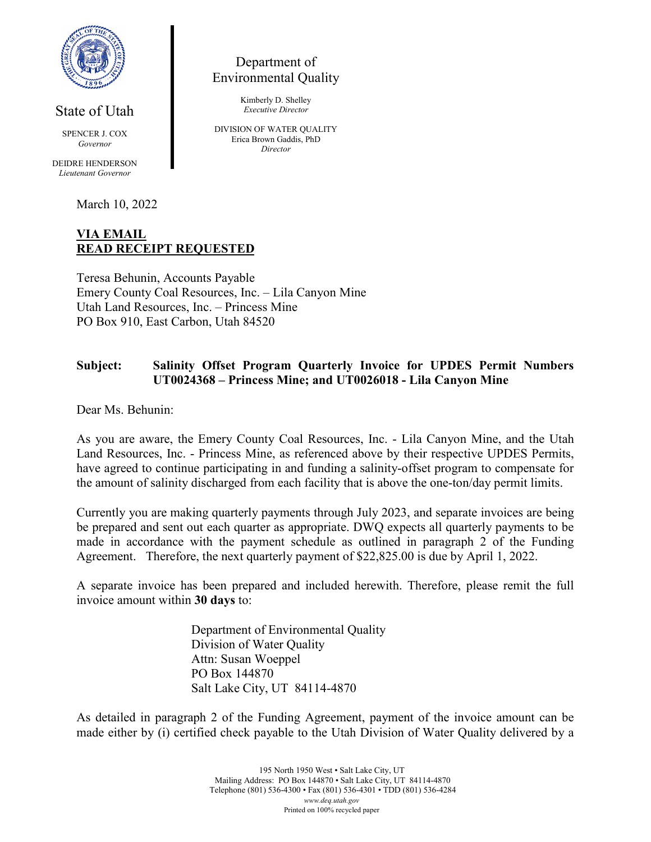

State of Utah

SPENCER J. COX *Governor*

DEIDRE HENDERSON *Lieutenant Governor*

March 10, 2022

## **VIA EMAIL READ RECEIPT REQUESTED**

Teresa Behunin, Accounts Payable Emery County Coal Resources, Inc. – Lila Canyon Mine Utah Land Resources, Inc. – Princess Mine PO Box 910, East Carbon, Utah 84520

## **Subject: Salinity Offset Program Quarterly Invoice for UPDES Permit Numbers UT0024368 – Princess Mine; and UT0026018 - Lila Canyon Mine**

Dear Ms. Behunin:

As you are aware, the Emery County Coal Resources, Inc. - Lila Canyon Mine, and the Utah Land Resources, Inc. - Princess Mine, as referenced above by their respective UPDES Permits, have agreed to continue participating in and funding a salinity-offset program to compensate for the amount of salinity discharged from each facility that is above the one-ton/day permit limits.

Currently you are making quarterly payments through July 2023, and separate invoices are being be prepared and sent out each quarter as appropriate. DWQ expects all quarterly payments to be made in accordance with the payment schedule as outlined in paragraph 2 of the Funding Agreement. Therefore, the next quarterly payment of \$22,825.00 is due by April 1, 2022.

A separate invoice has been prepared and included herewith. Therefore, please remit the full invoice amount within **30 days** to:

> Department of Environmental Quality Division of Water Quality Attn: Susan Woeppel PO Box 144870 Salt Lake City, UT 84114-4870

As detailed in paragraph 2 of the Funding Agreement, payment of the invoice amount can be made either by (i) certified check payable to the Utah Division of Water Quality delivered by a

Department of Environmental Quality

> Kimberly D. Shelley *Executive Director*

DIVISION OF WATER QUALITY Erica Brown Gaddis, PhD *Director*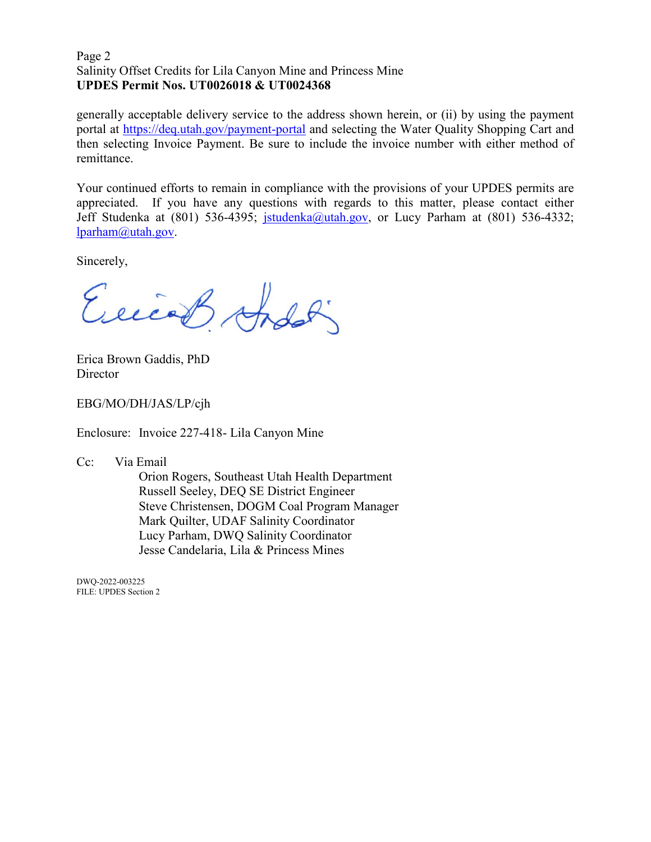#### Page 2 Salinity Offset Credits for Lila Canyon Mine and Princess Mine **UPDES Permit Nos. UT0026018 & UT0024368**

generally acceptable delivery service to the address shown herein, or (ii) by using the payment portal at<https://deq.utah.gov/payment-portal> and selecting the Water Quality Shopping Cart and then selecting Invoice Payment. Be sure to include the invoice number with either method of remittance.

Your continued efforts to remain in compliance with the provisions of your UPDES permits are appreciated. If you have any questions with regards to this matter, please contact either Jeff Studenka at (801) 536-4395; [jstudenka@utah.gov,](mailto:jstudenka@utah.gov) or Lucy Parham at (801) 536-4332; [lparham@utah.gov.](mailto:lparham@utah.gov)

Sincerely,

Exceed Andoli

Erica Brown Gaddis, PhD **Director** 

EBG/MO/DH/JAS/LP/cjh

Enclosure: Invoice 227-418- Lila Canyon Mine

Cc: Via Email

Orion Rogers, Southeast Utah Health Department Russell Seeley, DEQ SE District Engineer Steve Christensen, DOGM Coal Program Manager Mark Quilter, UDAF Salinity Coordinator Lucy Parham, DWQ Salinity Coordinator Jesse Candelaria, Lila & Princess Mines

DWQ-2022-003225 FILE: UPDES Section 2